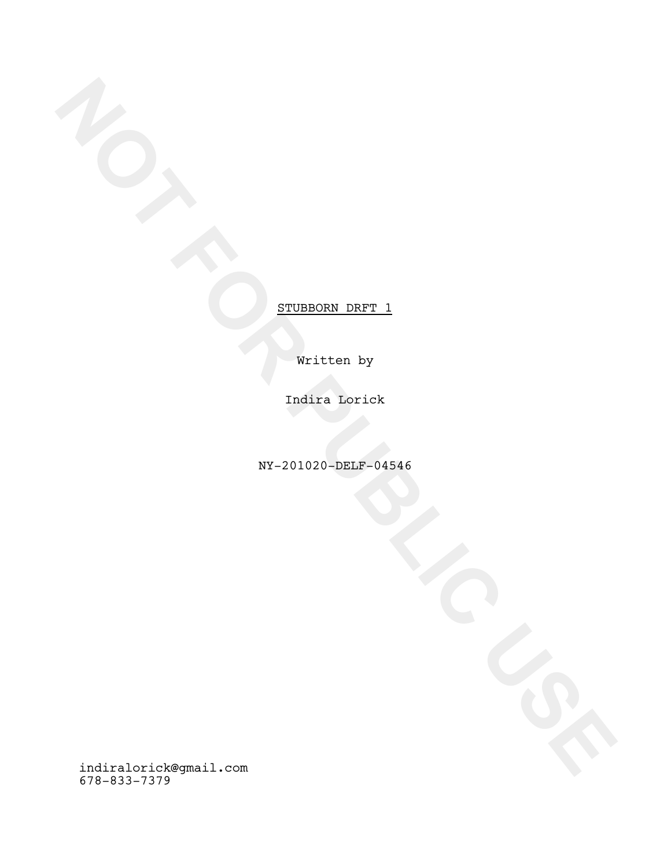Written by

Indira Lorick

NY-201020-DELF-04546

**NOTE**<br> **ETUREORE DRFT\_1**<br>
FOR PUBLIC USE<br>
FOR PUBLIC USE<br>
FOR PUBLIC USE<br>
FOR PUBLIC USE<br>
FOR PUBLIC USE<br>
FOR PUBLIC USE<br>
FOR PUBLIC USE<br>
FOR PUBLIC USE<br>
FOR PUBLIC USE<br>
FOR PUBLIC USE<br>
FOR PUBLIC USE<br>
FOR PUBLIC USE<br>
FOR indiralorick@gmail.com 678-833-7379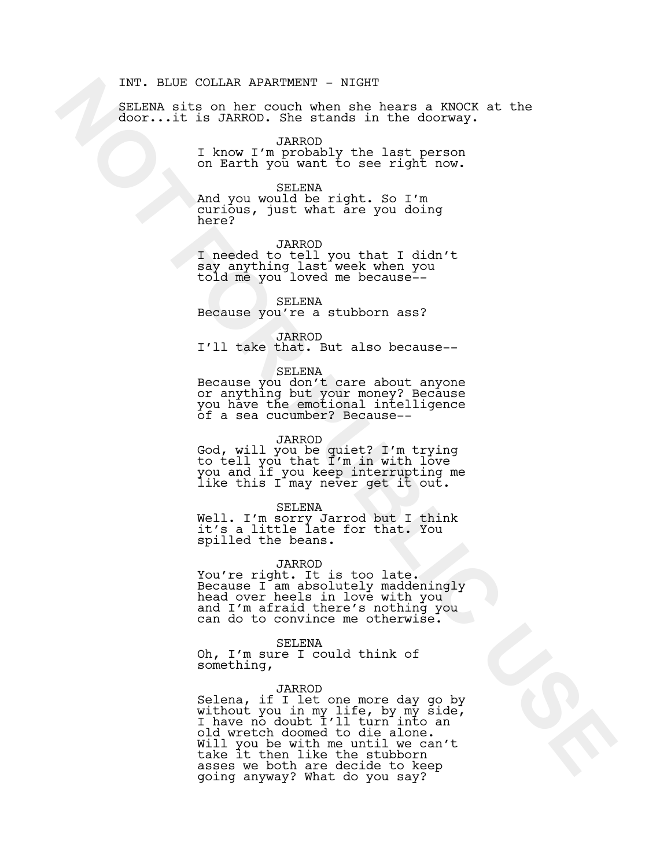#### INT. BLUE COLLAR APARTMENT - NIGHT

SELENA sits on her couch when she hears a KNOCK at the door...it is JARROD. She stands in the doorway.

#### JARROD

I know I'm probably the last person on Earth you want to see right now.

#### SELENA

And you would be right. So I'm curious, just what are you doing here?

#### JARROD

I needed to tell you that I didn't say anything last week when you told me you loved me because--

#### SELENA

Because you're a stubborn ass?

## JARROD

I'll take that. But also because--

## SELENA

Because you don't care about anyone or anything but your money? Because you have the emotional intelligence of a sea cucumber? Because--

#### JARROD

God, will you be quiet? I'm trying to tell you that I'm in with love you and if you keep interrupting me like this I may never get it out.

#### SELENA

Well. I'm sorry Jarrod but I think it's a little late for that. You spilled the beans.

JARROD<br>You're right. It is too late. You're right. It is too late.<br>Because I am absolutely maddeningly head over heels in love with you and I'm afraid there's nothing you can do to convince me otherwise.

SELENA

Oh, I'm sure I could think of something,

# JARROD

INT BLUE COLLEA EXERCULAR EXPERIENCE - NICHAR ANGELES AND COLLECTIVE ON A STATE OF THE COLLECTION COLLECTION COLLECTION COLLECTION COLLECTION COLLECTION COLLECTION COLLECTION COLLECTION COLLECTION COLLECTION COLLECTION COL Selena, if I let one more day go by without you in my life, by my side,<br>I have no doubt I'll turn into an old wretch doomed to die alone<mark>.</mark><br>Will you be with me until we can't Vill you be with me until we can't<br>take it then like the stubborn asses we both are decide to keep going anyway? What do you say?